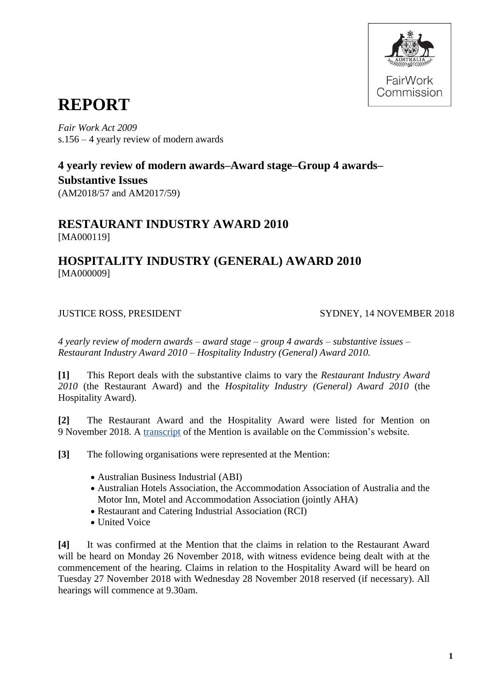

# **REPORT**

*Fair Work Act 2009* s.156 – 4 yearly review of modern awards

# **4 yearly review of modern awards–Award stage–Group 4 awards– Substantive Issues**

(AM2018/57 and AM2017/59)

# **RESTAURANT INDUSTRY AWARD 2010** [MA000119]

# **HOSPITALITY INDUSTRY (GENERAL) AWARD 2010** [MA000009]

JUSTICE ROSS, PRESIDENT SYDNEY, 14 NOVEMBER 2018

*4 yearly review of modern awards – award stage – group 4 awards – substantive issues – Restaurant Industry Award 2010 – Hospitality Industry (General) Award 2010.*

**[1]** This Report deals with the substantive claims to vary the *Restaurant Industry Award 2010* (the Restaurant Award) and the *Hospitality Industry (General) Award 2010* (the Hospitality Award).

**[2]** The Restaurant Award and the Hospitality Award were listed for Mention on 9 November 2018*.* A [transcript](https://www.fwc.gov.au/documents/sites/awardsmodernfouryr/091118-am201757-59.htm) of the Mention is available on the Commission's website.

**[3]** The following organisations were represented at the Mention:

- Australian Business Industrial (ABI)
- Australian Hotels Association, the Accommodation Association of Australia and the Motor Inn, Motel and Accommodation Association (jointly AHA)
- Restaurant and Catering Industrial Association (RCI)
- United Voice

**[4]** It was confirmed at the Mention that the claims in relation to the Restaurant Award will be heard on Monday 26 November 2018, with witness evidence being dealt with at the commencement of the hearing. Claims in relation to the Hospitality Award will be heard on Tuesday 27 November 2018 with Wednesday 28 November 2018 reserved (if necessary). All hearings will commence at 9.30am.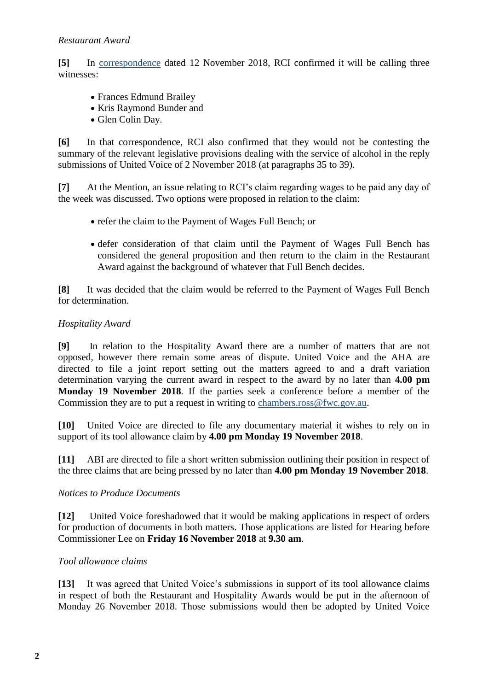## *Restaurant Award*

**[5]** In [correspondence](https://www.fwc.gov.au/documents/sites/awardsmodernfouryr/am201757-corr-rci-121118.pdf) dated 12 November 2018, RCI confirmed it will be calling three witnesses:

- Frances Edmund Brailey
- Kris Raymond Bunder and
- Glen Colin Day.

**[6]** In that correspondence, RCI also confirmed that they would not be contesting the summary of the relevant legislative provisions dealing with the service of alcohol in the reply submissions of United Voice of 2 November 2018 (at paragraphs 35 to 39).

**[7]** At the Mention, an issue relating to RCI's claim regarding wages to be paid any day of the week was discussed. Two options were proposed in relation to the claim:

- refer the claim to the Payment of Wages Full Bench; or
- defer consideration of that claim until the Payment of Wages Full Bench has considered the general proposition and then return to the claim in the Restaurant Award against the background of whatever that Full Bench decides.

**[8]** It was decided that the claim would be referred to the Payment of Wages Full Bench for determination.

### *Hospitality Award*

**[9]** In relation to the Hospitality Award there are a number of matters that are not opposed, however there remain some areas of dispute. United Voice and the AHA are directed to file a joint report setting out the matters agreed to and a draft variation determination varying the current award in respect to the award by no later than **4.00 pm Monday 19 November 2018**. If the parties seek a conference before a member of the Commission they are to put a request in writing to [chambers.ross@fwc.gov.au.](mailto:chambers.ross@fwc.gov.au)

**[10]** United Voice are directed to file any documentary material it wishes to rely on in support of its tool allowance claim by **4.00 pm Monday 19 November 2018**.

**[11]** ABI are directed to file a short written submission outlining their position in respect of the three claims that are being pressed by no later than **4.00 pm Monday 19 November 2018**.

### *Notices to Produce Documents*

**[12]** United Voice foreshadowed that it would be making applications in respect of orders for production of documents in both matters. Those applications are listed for Hearing before Commissioner Lee on **Friday 16 November 2018** at **9.30 am**.

# *Tool allowance claims*

**[13]** It was agreed that United Voice's submissions in support of its tool allowance claims in respect of both the Restaurant and Hospitality Awards would be put in the afternoon of Monday 26 November 2018. Those submissions would then be adopted by United Voice